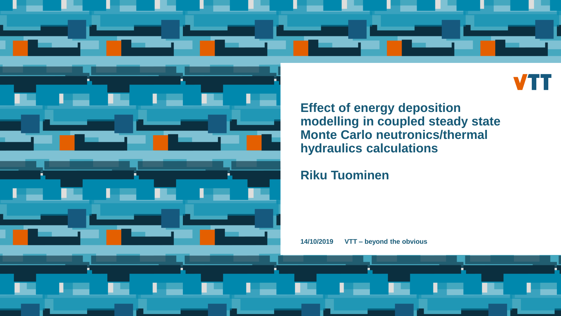



**Effect of energy deposition modelling in coupled steady state Monte Carlo neutronics/thermal hydraulics calculations**

**Riku Tuominen**

**14/10/2019 VTT – beyond the obvious**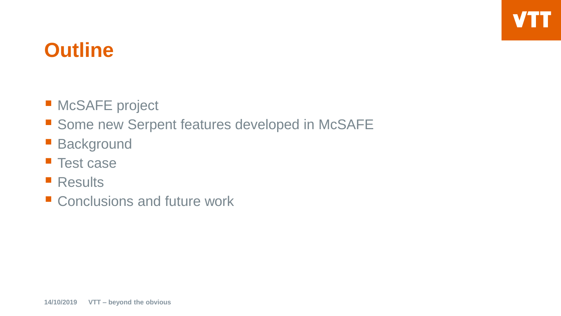### **Outline**

- **McSAFE** project
- **Some new Serpent features developed in McSAFE**
- **Background**
- **Test case**
- Results
- Conclusions and future work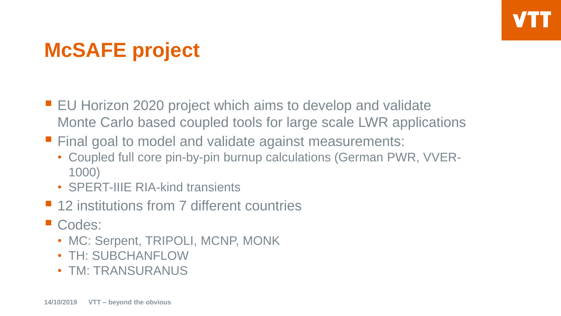# **McSAFE project**

- EU Horizon 2020 project which aims to develop and validate Monte Carlo based coupled tools for large scale LWR applications
- **Final goal to model and validate against measurements:** 
	- Coupled full core pin-by-pin burnup calculations (German PWR, VVER-1000)
	- SPERT-IIIE RIA-kind transients
- 12 institutions from 7 different countries
- Codes:
	- MC: Serpent, TRIPOLI, MCNP, MONK
	- TH: SUBCHANFLOW
	- TM: TRANSURANUS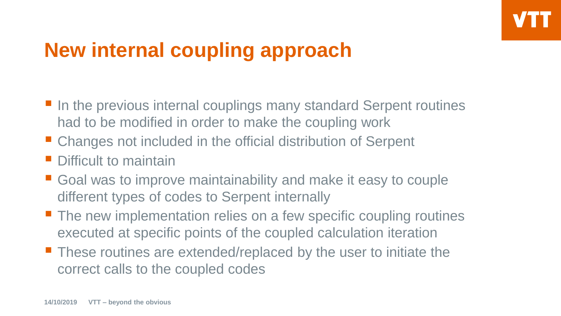# **New internal coupling approach**

- In the previous internal couplings many standard Serpent routines had to be modified in order to make the coupling work
- Changes not included in the official distribution of Serpent
- **Difficult to maintain**
- Goal was to improve maintainability and make it easy to couple different types of codes to Serpent internally
- **The new implementation relies on a few specific coupling routines** executed at specific points of the coupled calculation iteration
- These routines are extended/replaced by the user to initiate the correct calls to the coupled codes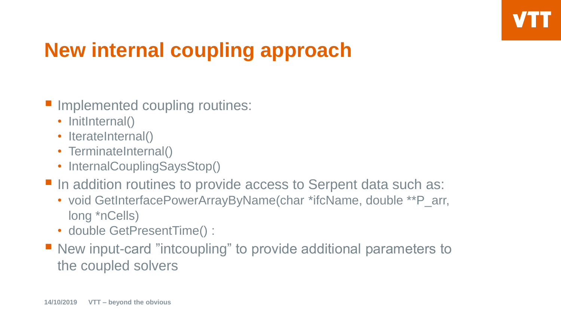# **New internal coupling approach**

- **Implemented coupling routines:** 
	- InitInternal()
	- IterateInternal()
	- TerminateInternal()
	- InternalCouplingSaysStop()
- In addition routines to provide access to Serpent data such as:
	- void GetInterfacePowerArrayByName(char \*ifcName, double \*\*P\_arr, long \*nCells)
	- double GetPresentTime() :
- New input-card "intcoupling" to provide additional parameters to the coupled solvers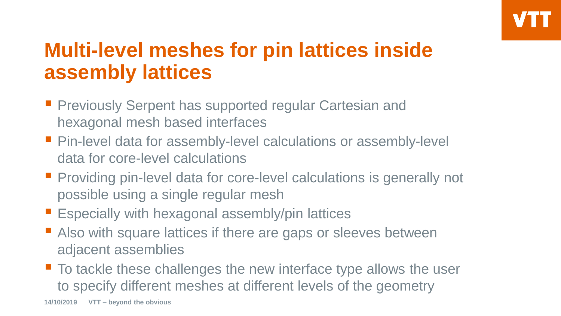# **Multi-level meshes for pin lattices inside assembly lattices**

- **Previously Serpent has supported regular Cartesian and** hexagonal mesh based interfaces
- Pin-level data for assembly-level calculations or assembly-level data for core-level calculations
- **Providing pin-level data for core-level calculations is generally not** possible using a single regular mesh
- **Expecially with hexagonal assembly/pin lattices**
- Also with square lattices if there are gaps or sleeves between adjacent assemblies
- To tackle these challenges the new interface type allows the user to specify different meshes at different levels of the geometry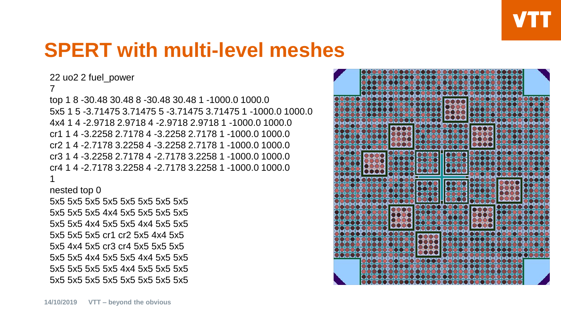### **SPERT with multi-level meshes**

22 uo2 2 fuel\_power

#### 7

top 1 8 -30.48 30.48 8 -30.48 30.48 1 -1000.0 1000.0 5x5 1 5 -3.71475 3.71475 5 -3.71475 3.71475 1 -1000.0 1000.0 4x4 1 4 -2.9718 2.9718 4 -2.9718 2.9718 1 -1000.0 1000.0 cr1 1 4 -3.2258 2.7178 4 -3.2258 2.7178 1 -1000.0 1000.0 cr2 1 4 -2.7178 3.2258 4 -3.2258 2.7178 1 -1000.0 1000.0 cr3 1 4 -3.2258 2.7178 4 -2.7178 3.2258 1 -1000.0 1000.0 cr4 1 4 -2.7178 3.2258 4 -2.7178 3.2258 1 -1000.0 1000.0 1

nested top 0

5x5 5x5 5x5 5x5 5x5 5x5 5x5 5x5 5x5 5x5 5x5 4x4 5x5 5x5 5x5 5x5 5x5 5x5 4x4 5x5 5x5 4x4 5x5 5x5 5x5 5x5 5x5 cr1 cr2 5x5 4x4 5x5 5x5 4x4 5x5 cr3 cr4 5x5 5x5 5x5 5x5 5x5 4x4 5x5 5x5 4x4 5x5 5x5 5x5 5x5 5x5 5x5 4x4 5x5 5x5 5x5 5x5 5x5 5x5 5x5 5x5 5x5 5x5 5x5

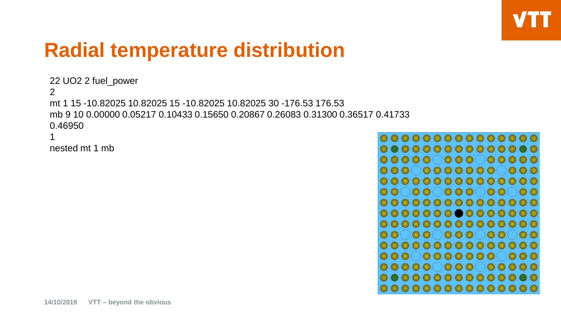#### **Radial temperature distribution**

```
22 UO2 2 fuel_power
2
mt 1 15 -10.82025 10.82025 15 -10.82025 10.82025 30 -176.53 176.53
mb 9 10 0.00000 0.05217 0.10433 0.15650 0.20867 0.26083 0.31300 0.36517 0.41733 
0.46950
1
```

```
nested mt 1 mb
```

```
00000000000000
0000000000000
00000000000000
0000000000000000000000000
00000000000000000000000
 00000000000
 00000000000
 0000000000
0000000000000
 00000000000
0000000000000
```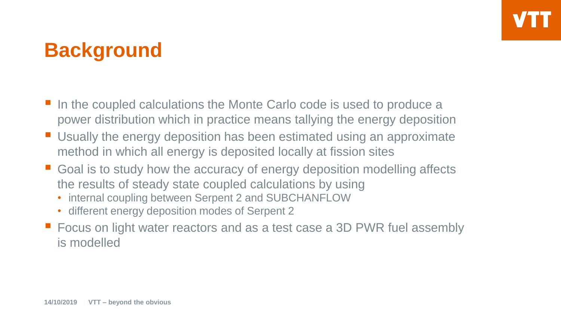# **Background**

- In the coupled calculations the Monte Carlo code is used to produce a power distribution which in practice means tallying the energy deposition
- Usually the energy deposition has been estimated using an approximate method in which all energy is deposited locally at fission sites
- Goal is to study how the accuracy of energy deposition modelling affects the results of steady state coupled calculations by using
	- internal coupling between Serpent 2 and SUBCHANFLOW
	- different energy deposition modes of Serpent 2
- Focus on light water reactors and as a test case a 3D PWR fuel assembly is modelled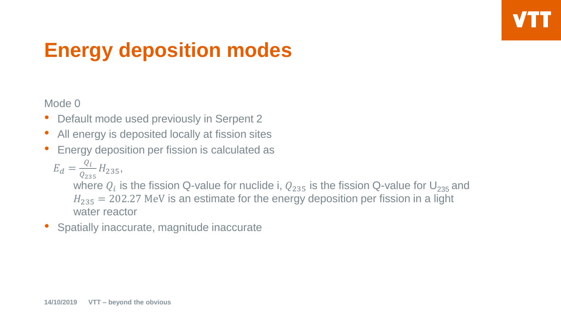Mode 0

- Default mode used previously in Serpent 2
- All energy is deposited locally at fission sites
- Energy deposition per fission is calculated as

$$
E_d = \frac{Q_i}{Q_{235}} H_{235},
$$

where  $Q_i$  is the fission Q-value for nuclide i,  $Q_{235}$  is the fission Q-value for  $\mathsf{U}_{235}$  and  $H_{235}$  = 202.27 MeV is an estimate for the energy deposition per fission in a light water reactor

• Spatially inaccurate, magnitude inaccurate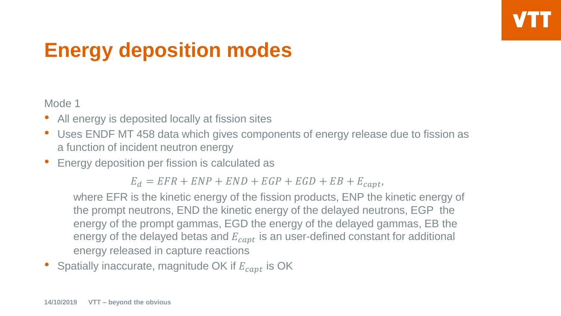Mode 1

- All energy is deposited locally at fission sites
- Uses ENDF MT 458 data which gives components of energy release due to fission as a function of incident neutron energy
- Energy deposition per fission is calculated as

 $E_d = EFR + ENP + END + EGP + EGD + EB + E_{cant},$ 

where EFR is the kinetic energy of the fission products, ENP the kinetic energy of the prompt neutrons, END the kinetic energy of the delayed neutrons, EGP the energy of the prompt gammas, EGD the energy of the delayed gammas, EB the energy of the delayed betas and  $E_{cant}$  is an user-defined constant for additional energy released in capture reactions

Spatially inaccurate, magnitude OK if  $E_{cant}$  is OK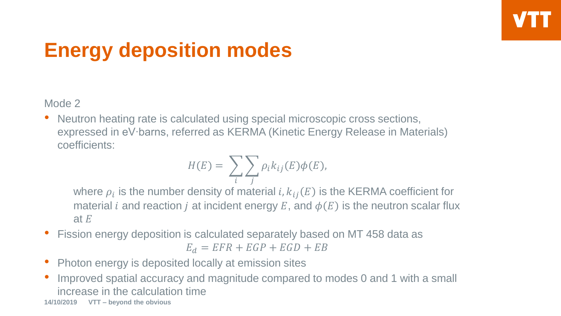Mode 2

• Neutron heating rate is calculated using special microscopic cross sections, expressed in eV∙barns, referred as KERMA (Kinetic Energy Release in Materials) coefficients:

$$
H(E) = \sum_{i} \sum_{j} \rho_{i} k_{ij}(E) \phi(E),
$$

where  $\rho_i$  is the number density of material  $i$ ,  $k_{ij}(E)$  is the KERMA coefficient for material *i* and reaction *j* at incident energy E, and  $\phi(E)$  is the neutron scalar flux at  $E$ 

- Fission energy deposition is calculated separately based on MT 458 data as  $E_d = EFR + EGP + EGD + EB$
- Photon energy is deposited locally at emission sites
- Improved spatial accuracy and magnitude compared to modes 0 and 1 with a small increase in the calculation time

**<sup>14/10/2019</sup> VTT – beyond the obvious**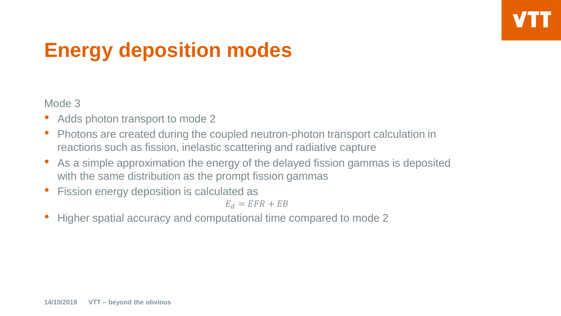Mode 3

- Adds photon transport to mode 2
- Photons are created during the coupled neutron-photon transport calculation in reactions such as fission, inelastic scattering and radiative capture
- As a simple approximation the energy of the delayed fission gammas is deposited with the same distribution as the prompt fission gammas
- Fission energy deposition is calculated as

$$
E_d = EFR + EB
$$

• Higher spatial accuracy and computational time compared to mode 2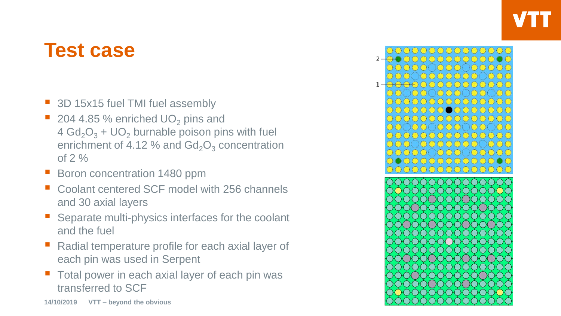#### **Test case**

- 3D 15x15 fuel TMI fuel assembly
- 204 4.85 % enriched  $UO<sub>2</sub>$  pins and  $4 \text{ Gd}_2\text{O}_3 + \text{UO}_2$  burnable poison pins with fuel enrichment of 4.12 % and  $Gd_2O_3$  concentration of  $2\%$
- Boron concentration 1480 ppm
- Coolant centered SCF model with 256 channels and 30 axial layers
- Separate multi-physics interfaces for the coolant and the fuel
- Radial temperature profile for each axial layer of each pin was used in Serpent
- Total power in each axial layer of each pin was transferred to SCF

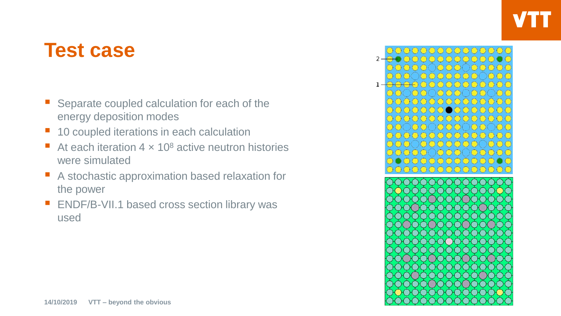#### **Test case**

- Separate coupled calculation for each of the energy deposition modes
- 10 coupled iterations in each calculation
- At each iteration  $4 \times 10^8$  active neutron histories were simulated
- A stochastic approximation based relaxation for the power
- **ENDF/B-VII.1 based cross section library was** used

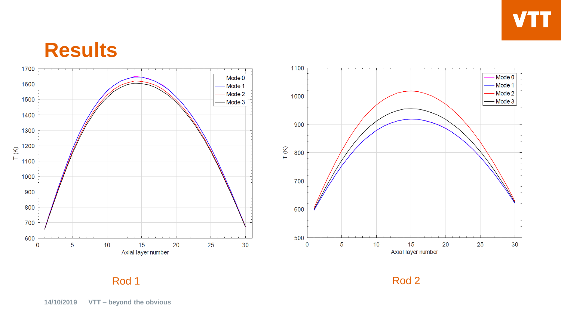#### **Results**





Rod 1 Rod 2 Rod 2 Rod 2 Rod 2 Rod 2 Rod 2 Rod 2 Rod 2 Rod 2 Rod 2 Rod 2 Rod 2 Rod 2 Rod 2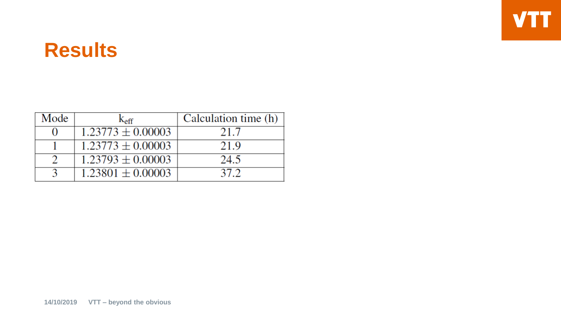#### **Results**

| Mode | $\rm K_{eff}$         | Calculation time (h) |
|------|-----------------------|----------------------|
|      | $1.23773 \pm 0.00003$ | 21.7                 |
|      | $1.23773 \pm 0.00003$ | 21.9                 |
|      | $1.23793 \pm 0.00003$ | 24.5                 |
|      | $1.23801 \pm 0.00003$ | 37.2                 |

**VTT**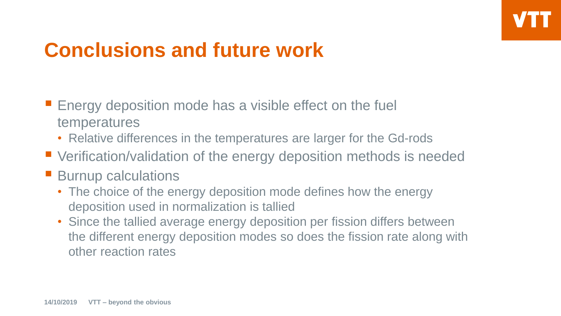### **Conclusions and future work**

- $\blacksquare$  Energy deposition mode has a visible effect on the fuel temperatures
	- Relative differences in the temperatures are larger for the Gd-rods
- Verification/validation of the energy deposition methods is needed
- **Burnup calculations** 
	- The choice of the energy deposition mode defines how the energy deposition used in normalization is tallied
	- Since the tallied average energy deposition per fission differs between the different energy deposition modes so does the fission rate along with other reaction rates